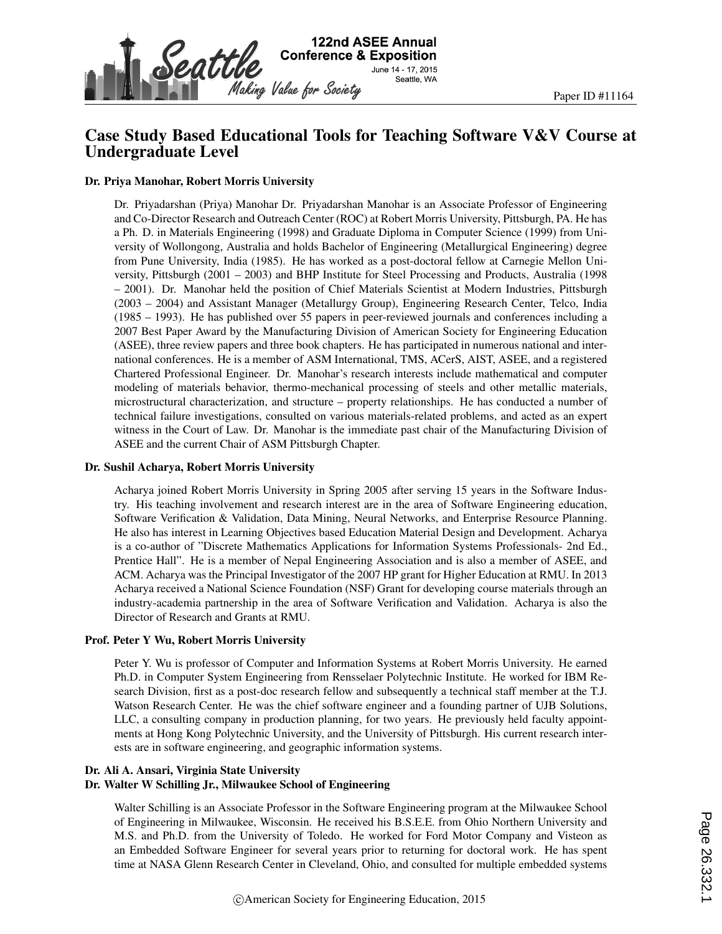

## Case Study Based Educational Tools for Teaching Software V&V Course at Undergraduate Level

#### Dr. Priya Manohar, Robert Morris University

Dr. Priyadarshan (Priya) Manohar Dr. Priyadarshan Manohar is an Associate Professor of Engineering and Co-Director Research and Outreach Center (ROC) at Robert Morris University, Pittsburgh, PA. He has a Ph. D. in Materials Engineering (1998) and Graduate Diploma in Computer Science (1999) from University of Wollongong, Australia and holds Bachelor of Engineering (Metallurgical Engineering) degree from Pune University, India (1985). He has worked as a post-doctoral fellow at Carnegie Mellon University, Pittsburgh (2001 – 2003) and BHP Institute for Steel Processing and Products, Australia (1998 – 2001). Dr. Manohar held the position of Chief Materials Scientist at Modern Industries, Pittsburgh (2003 – 2004) and Assistant Manager (Metallurgy Group), Engineering Research Center, Telco, India (1985 – 1993). He has published over 55 papers in peer-reviewed journals and conferences including a 2007 Best Paper Award by the Manufacturing Division of American Society for Engineering Education (ASEE), three review papers and three book chapters. He has participated in numerous national and international conferences. He is a member of ASM International, TMS, ACerS, AIST, ASEE, and a registered Chartered Professional Engineer. Dr. Manohar's research interests include mathematical and computer modeling of materials behavior, thermo-mechanical processing of steels and other metallic materials, microstructural characterization, and structure – property relationships. He has conducted a number of technical failure investigations, consulted on various materials-related problems, and acted as an expert witness in the Court of Law. Dr. Manohar is the immediate past chair of the Manufacturing Division of ASEE and the current Chair of ASM Pittsburgh Chapter.

#### Dr. Sushil Acharya, Robert Morris University

Acharya joined Robert Morris University in Spring 2005 after serving 15 years in the Software Industry. His teaching involvement and research interest are in the area of Software Engineering education, Software Verification & Validation, Data Mining, Neural Networks, and Enterprise Resource Planning. He also has interest in Learning Objectives based Education Material Design and Development. Acharya is a co-author of "Discrete Mathematics Applications for Information Systems Professionals- 2nd Ed., Prentice Hall". He is a member of Nepal Engineering Association and is also a member of ASEE, and ACM. Acharya was the Principal Investigator of the 2007 HP grant for Higher Education at RMU. In 2013 Acharya received a National Science Foundation (NSF) Grant for developing course materials through an industry-academia partnership in the area of Software Verification and Validation. Acharya is also the Director of Research and Grants at RMU.

#### Prof. Peter Y Wu, Robert Morris University

Peter Y. Wu is professor of Computer and Information Systems at Robert Morris University. He earned Ph.D. in Computer System Engineering from Rensselaer Polytechnic Institute. He worked for IBM Research Division, first as a post-doc research fellow and subsequently a technical staff member at the T.J. Watson Research Center. He was the chief software engineer and a founding partner of UJB Solutions, LLC, a consulting company in production planning, for two years. He previously held faculty appointments at Hong Kong Polytechnic University, and the University of Pittsburgh. His current research interests are in software engineering, and geographic information systems.

#### Dr. Ali A. Ansari, Virginia State University

#### Dr. Walter W Schilling Jr., Milwaukee School of Engineering

Walter Schilling is an Associate Professor in the Software Engineering program at the Milwaukee School of Engineering in Milwaukee, Wisconsin. He received his B.S.E.E. from Ohio Northern University and M.S. and Ph.D. from the University of Toledo. He worked for Ford Motor Company and Visteon as an Embedded Software Engineer for several years prior to returning for doctoral work. He has spent time at NASA Glenn Research Center in Cleveland, Ohio, and consulted for multiple embedded systems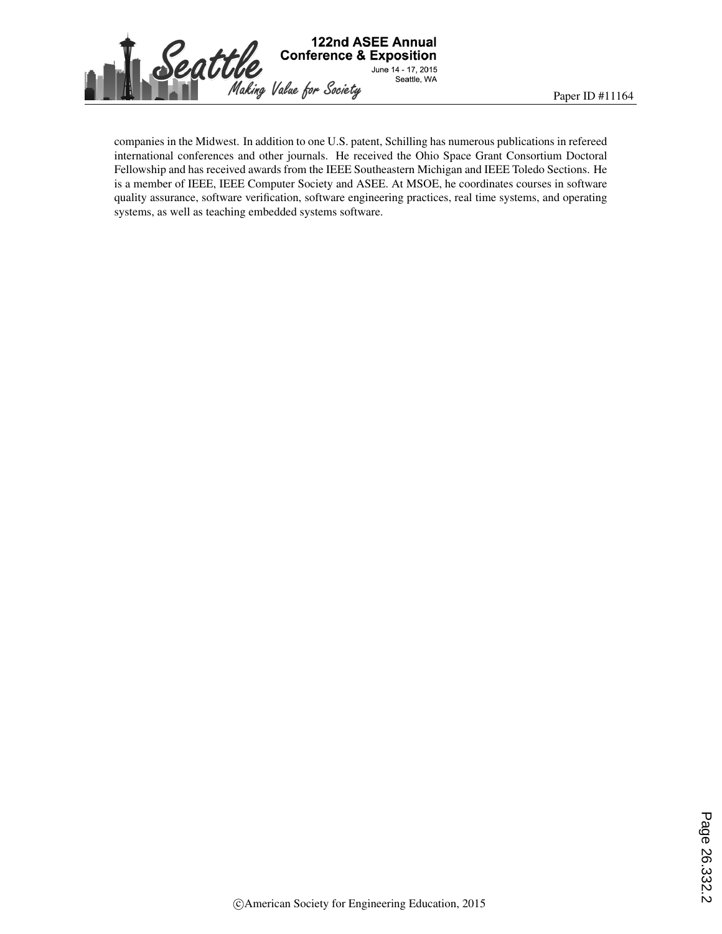

companies in the Midwest. In addition to one U.S. patent, Schilling has numerous publications in refereed international conferences and other journals. He received the Ohio Space Grant Consortium Doctoral Fellowship and has received awards from the IEEE Southeastern Michigan and IEEE Toledo Sections. He is a member of IEEE, IEEE Computer Society and ASEE. At MSOE, he coordinates courses in software quality assurance, software verification, software engineering practices, real time systems, and operating systems, as well as teaching embedded systems software.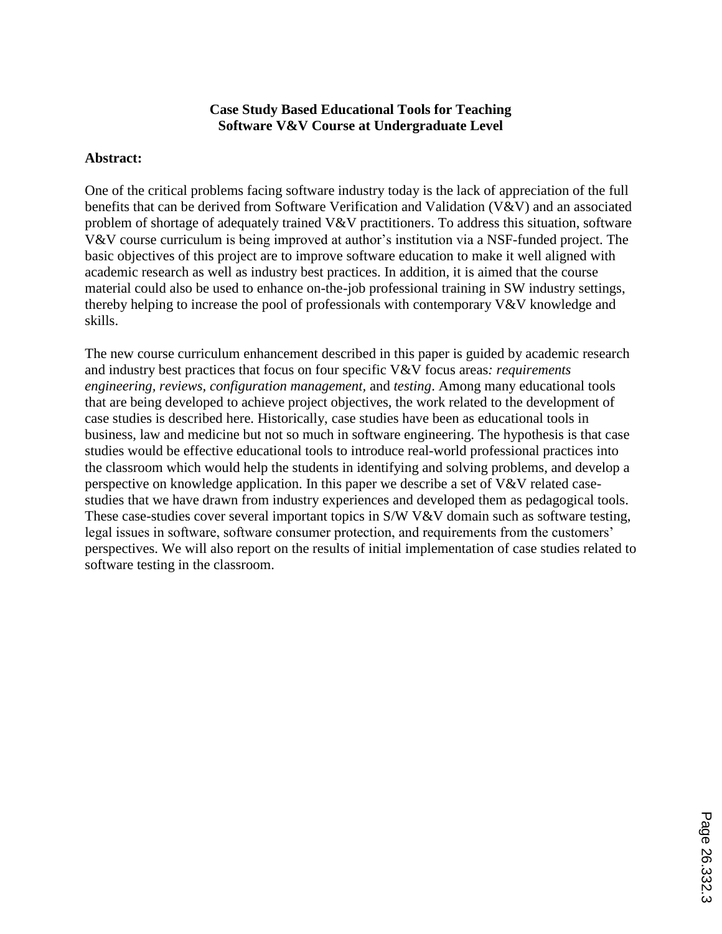#### **Case Study Based Educational Tools for Teaching Software V&V Course at Undergraduate Level**

#### **Abstract:**

One of the critical problems facing software industry today is the lack of appreciation of the full benefits that can be derived from Software Verification and Validation (V&V) and an associated problem of shortage of adequately trained V&V practitioners. To address this situation, software V&V course curriculum is being improved at author's institution via a NSF-funded project. The basic objectives of this project are to improve software education to make it well aligned with academic research as well as industry best practices. In addition, it is aimed that the course material could also be used to enhance on-the-job professional training in SW industry settings, thereby helping to increase the pool of professionals with contemporary V&V knowledge and skills.

The new course curriculum enhancement described in this paper is guided by academic research and industry best practices that focus on four specific V&V focus areas*: requirements engineering, reviews, configuration management,* and *testing*. Among many educational tools that are being developed to achieve project objectives, the work related to the development of case studies is described here. Historically, case studies have been as educational tools in business, law and medicine but not so much in software engineering. The hypothesis is that case studies would be effective educational tools to introduce real-world professional practices into the classroom which would help the students in identifying and solving problems, and develop a perspective on knowledge application. In this paper we describe a set of V&V related casestudies that we have drawn from industry experiences and developed them as pedagogical tools. These case-studies cover several important topics in S/W V&V domain such as software testing, legal issues in software, software consumer protection, and requirements from the customers' perspectives. We will also report on the results of initial implementation of case studies related to software testing in the classroom.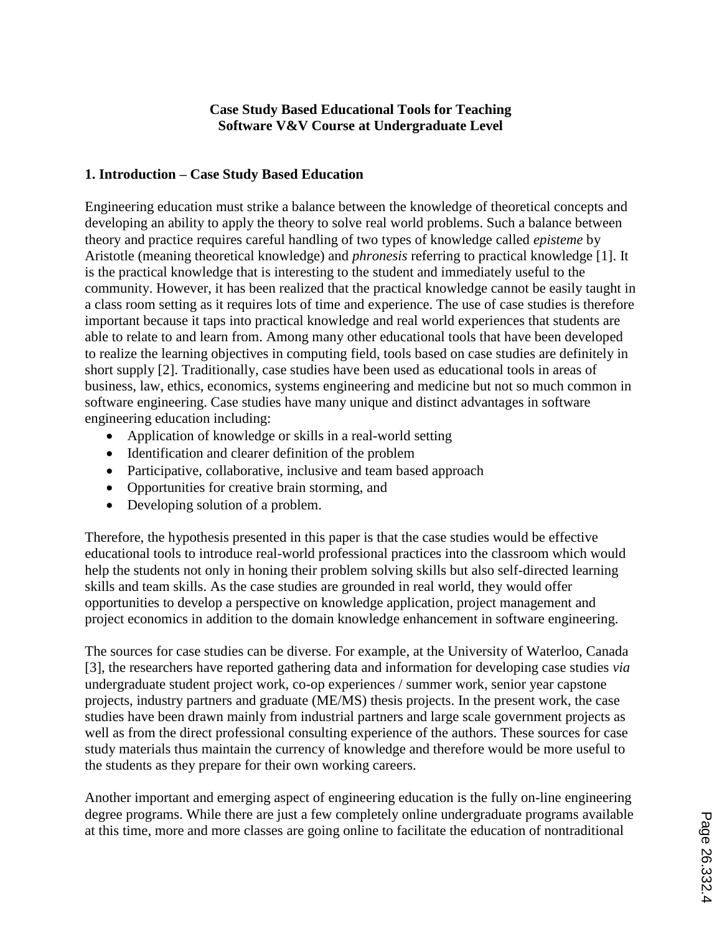### **Case Study Based Educational Tools for Teaching Software V&V Course at Undergraduate Level**

## **1. Introduction – Case Study Based Education**

Engineering education must strike a balance between the knowledge of theoretical concepts and developing an ability to apply the theory to solve real world problems. Such a balance between theory and practice requires careful handling of two types of knowledge called *episteme* by Aristotle (meaning theoretical knowledge) and *phronesis* referring to practical knowledge [1]. It is the practical knowledge that is interesting to the student and immediately useful to the community. However, it has been realized that the practical knowledge cannot be easily taught in a class room setting as it requires lots of time and experience. The use of case studies is therefore important because it taps into practical knowledge and real world experiences that students are able to relate to and learn from. Among many other educational tools that have been developed to realize the learning objectives in computing field, tools based on case studies are definitely in short supply [2]. Traditionally, case studies have been used as educational tools in areas of business, law, ethics, economics, systems engineering and medicine but not so much common in software engineering. Case studies have many unique and distinct advantages in software engineering education including:

- Application of knowledge or skills in a real-world setting
- Identification and clearer definition of the problem
- Participative, collaborative, inclusive and team based approach
- Opportunities for creative brain storming, and
- Developing solution of a problem.

Therefore, the hypothesis presented in this paper is that the case studies would be effective educational tools to introduce real-world professional practices into the classroom which would help the students not only in honing their problem solving skills but also self-directed learning skills and team skills. As the case studies are grounded in real world, they would offer opportunities to develop a perspective on knowledge application, project management and project economics in addition to the domain knowledge enhancement in software engineering.

The sources for case studies can be diverse. For example, at the University of Waterloo, Canada [3], the researchers have reported gathering data and information for developing case studies *via* undergraduate student project work, co-op experiences / summer work, senior year capstone projects, industry partners and graduate (ME/MS) thesis projects. In the present work, the case studies have been drawn mainly from industrial partners and large scale government projects as well as from the direct professional consulting experience of the authors. These sources for case study materials thus maintain the currency of knowledge and therefore would be more useful to the students as they prepare for their own working careers.

Another important and emerging aspect of engineering education is the fully on-line engineering degree programs. While there are just a few completely online undergraduate programs available at this time, more and more classes are going online to facilitate the education of nontraditional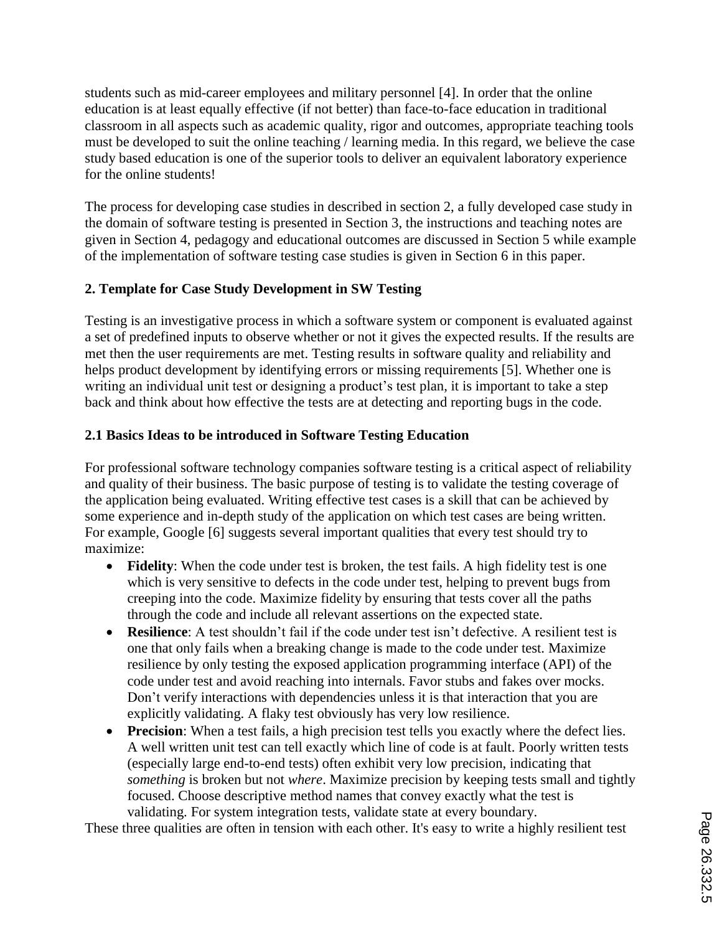students such as mid-career employees and military personnel [4]. In order that the online education is at least equally effective (if not better) than face-to-face education in traditional classroom in all aspects such as academic quality, rigor and outcomes, appropriate teaching tools must be developed to suit the online teaching / learning media. In this regard, we believe the case study based education is one of the superior tools to deliver an equivalent laboratory experience for the online students!

The process for developing case studies in described in section 2, a fully developed case study in the domain of software testing is presented in Section 3, the instructions and teaching notes are given in Section 4, pedagogy and educational outcomes are discussed in Section 5 while example of the implementation of software testing case studies is given in Section 6 in this paper.

## **2. Template for Case Study Development in SW Testing**

Testing is an investigative process in which a software system or component is evaluated against a set of predefined inputs to observe whether or not it gives the expected results. If the results are met then the user requirements are met. Testing results in software quality and reliability and helps product development by identifying errors or missing requirements [5]. Whether one is writing an individual unit test or designing a product's test plan, it is important to take a step back and think about how effective the tests are at detecting and reporting bugs in the code.

## **2.1 Basics Ideas to be introduced in Software Testing Education**

For professional software technology companies software testing is a critical aspect of reliability and quality of their business. The basic purpose of testing is to validate the testing coverage of the application being evaluated. Writing effective test cases is a skill that can be achieved by some experience and in-depth study of the application on which test cases are being written. For example, Google [6] suggests several important qualities that every test should try to maximize:

- **Fidelity**: When the code under test is broken, the test fails. A high fidelity test is one which is very sensitive to defects in the code under test, helping to prevent bugs from creeping into the code. Maximize fidelity by ensuring that tests cover all the paths through the code and include all relevant assertions on the expected state.
- **Resilience**: A test shouldn't fail if the code under test isn't defective. A resilient test is one that only fails when a breaking change is made to the code under test. Maximize resilience by only testing the exposed application programming interface (API) of the code under test and avoid reaching into internals. Favor stubs and fakes over mocks. Don't verify interactions with dependencies unless it is that interaction that you are explicitly validating. A flaky test obviously has very low resilience.
- **Precision**: When a test fails, a high precision test tells you exactly where the defect lies. A well written unit test can tell exactly which line of code is at fault. Poorly written tests (especially large end-to-end tests) often exhibit very low precision, indicating that *something* is broken but not *where*. Maximize precision by keeping tests small and tightly focused. Choose descriptive method names that convey exactly what the test is validating. For system integration tests, validate state at every boundary.

These three qualities are often in tension with each other. It's easy to write a highly resilient test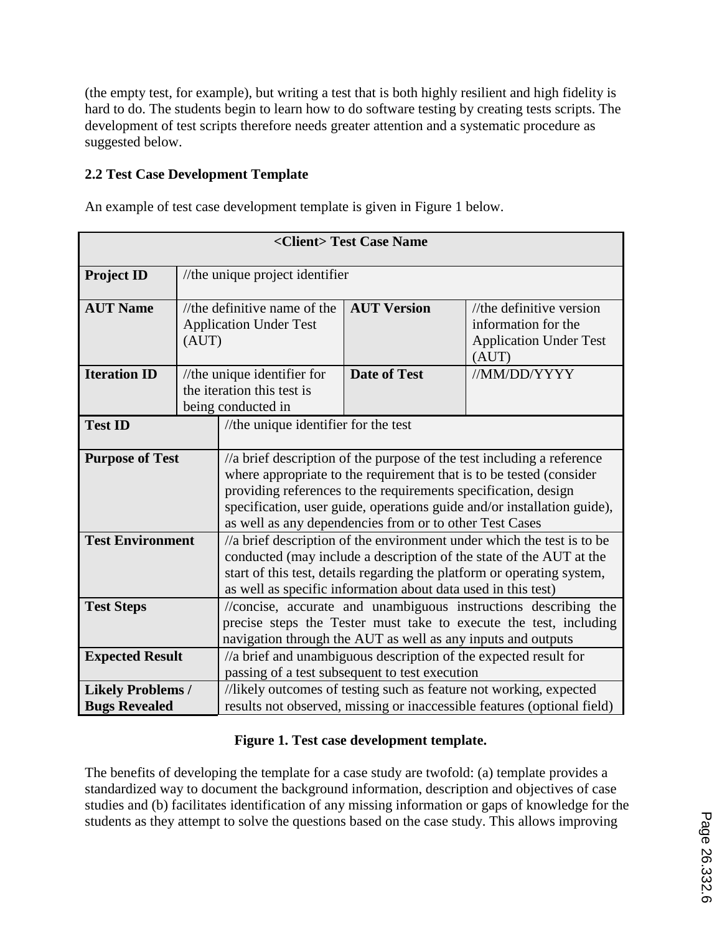(the empty test, for example), but writing a test that is both highly resilient and high fidelity is hard to do. The students begin to learn how to do software testing by creating tests scripts. The development of test scripts therefore needs greater attention and a systematic procedure as suggested below.

## **2.2 Test Case Development Template**

An example of test case development template is given in Figure 1 below.

| <client>Test Case Name</client>                        |                                                                        |                                                                                                                                                                                                                                                                                                                                                                 |                                                                                                                                               |                                                                                              |  |
|--------------------------------------------------------|------------------------------------------------------------------------|-----------------------------------------------------------------------------------------------------------------------------------------------------------------------------------------------------------------------------------------------------------------------------------------------------------------------------------------------------------------|-----------------------------------------------------------------------------------------------------------------------------------------------|----------------------------------------------------------------------------------------------|--|
| <b>Project ID</b>                                      |                                                                        | //the unique project identifier                                                                                                                                                                                                                                                                                                                                 |                                                                                                                                               |                                                                                              |  |
| <b>AUT Name</b>                                        | //the definitive name of the<br><b>Application Under Test</b><br>(AUT) |                                                                                                                                                                                                                                                                                                                                                                 | <b>AUT Version</b>                                                                                                                            | $//$ the definitive version<br>information for the<br><b>Application Under Test</b><br>(AUT) |  |
| <b>Iteration ID</b>                                    |                                                                        | //the unique identifier for<br>the iteration this test is<br>being conducted in                                                                                                                                                                                                                                                                                 | <b>Date of Test</b>                                                                                                                           | //MM/DD/YYYY                                                                                 |  |
| //the unique identifier for the test<br><b>Test ID</b> |                                                                        |                                                                                                                                                                                                                                                                                                                                                                 |                                                                                                                                               |                                                                                              |  |
| <b>Purpose of Test</b>                                 |                                                                        | $\frac{1}{a}$ brief description of the purpose of the test including a reference<br>where appropriate to the requirement that is to be tested (consider<br>providing references to the requirements specification, design<br>specification, user guide, operations guide and/or installation guide),<br>as well as any dependencies from or to other Test Cases |                                                                                                                                               |                                                                                              |  |
| <b>Test Environment</b>                                |                                                                        | //a brief description of the environment under which the test is to be<br>conducted (may include a description of the state of the AUT at the<br>start of this test, details regarding the platform or operating system,<br>as well as specific information about data used in this test)                                                                       |                                                                                                                                               |                                                                                              |  |
| <b>Test Steps</b>                                      |                                                                        | //concise, accurate and unambiguous instructions describing the<br>precise steps the Tester must take to execute the test, including<br>navigation through the AUT as well as any inputs and outputs                                                                                                                                                            |                                                                                                                                               |                                                                                              |  |
| <b>Expected Result</b>                                 |                                                                        |                                                                                                                                                                                                                                                                                                                                                                 | passing of a test subsequent to test execution                                                                                                | //a brief and unambiguous description of the expected result for                             |  |
| <b>Likely Problems /</b><br><b>Bugs Revealed</b>       |                                                                        |                                                                                                                                                                                                                                                                                                                                                                 | //likely outcomes of testing such as feature not working, expected<br>results not observed, missing or inaccessible features (optional field) |                                                                                              |  |

# **Figure 1. Test case development template.**

The benefits of developing the template for a case study are twofold: (a) template provides a standardized way to document the background information, description and objectives of case studies and (b) facilitates identification of any missing information or gaps of knowledge for the students as they attempt to solve the questions based on the case study. This allows improving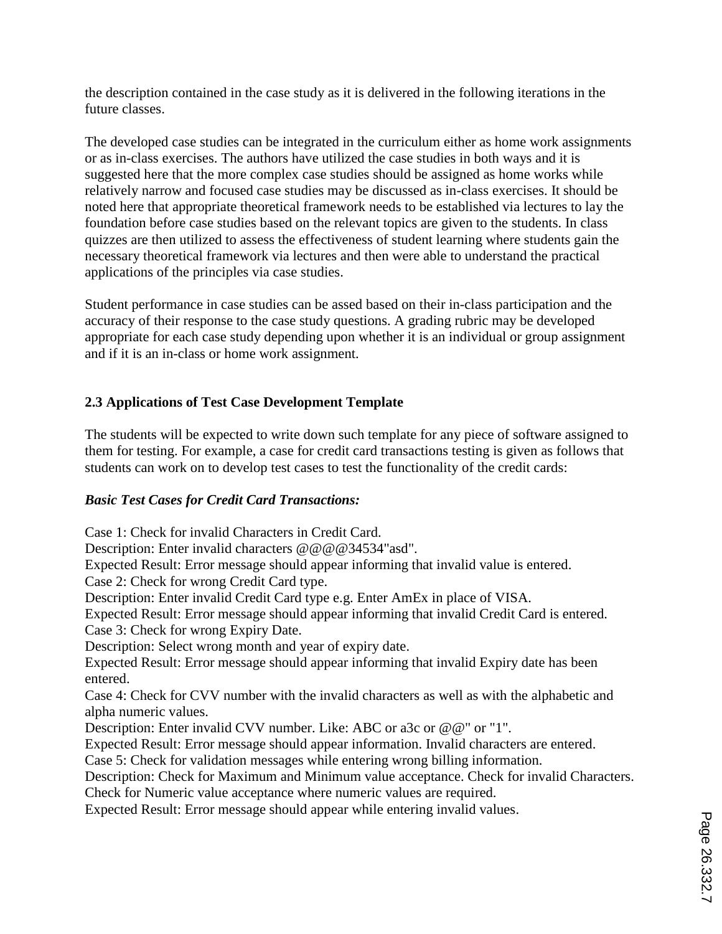the description contained in the case study as it is delivered in the following iterations in the future classes.

The developed case studies can be integrated in the curriculum either as home work assignments or as in-class exercises. The authors have utilized the case studies in both ways and it is suggested here that the more complex case studies should be assigned as home works while relatively narrow and focused case studies may be discussed as in-class exercises. It should be noted here that appropriate theoretical framework needs to be established via lectures to lay the foundation before case studies based on the relevant topics are given to the students. In class quizzes are then utilized to assess the effectiveness of student learning where students gain the necessary theoretical framework via lectures and then were able to understand the practical applications of the principles via case studies.

Student performance in case studies can be assed based on their in-class participation and the accuracy of their response to the case study questions. A grading rubric may be developed appropriate for each case study depending upon whether it is an individual or group assignment and if it is an in-class or home work assignment.

## **2.3 Applications of Test Case Development Template**

The students will be expected to write down such template for any piece of software assigned to them for testing. For example, a case for credit card transactions testing is given as follows that students can work on to develop test cases to test the functionality of the credit cards:

### *Basic Test Cases for Credit Card Transactions:*

Case 1: Check for invalid Characters in Credit Card.

Description: Enter invalid characters @@@@34534"asd".

Expected Result: Error message should appear informing that invalid value is entered. Case 2: Check for wrong Credit Card type.

Description: Enter invalid Credit Card type e.g. Enter AmEx in place of VISA.

Expected Result: Error message should appear informing that invalid Credit Card is entered. Case 3: Check for wrong Expiry Date.

Description: Select wrong month and year of expiry date.

Expected Result: Error message should appear informing that invalid Expiry date has been entered.

Case 4: Check for CVV number with the invalid characters as well as with the alphabetic and alpha numeric values.

Description: Enter invalid CVV number. Like: ABC or a3c or @@" or "1".

Expected Result: Error message should appear information. Invalid characters are entered.

Case 5: Check for validation messages while entering wrong billing information.

Description: Check for Maximum and Minimum value acceptance. Check for invalid Characters. Check for Numeric value acceptance where numeric values are required.

Expected Result: Error message should appear while entering invalid values.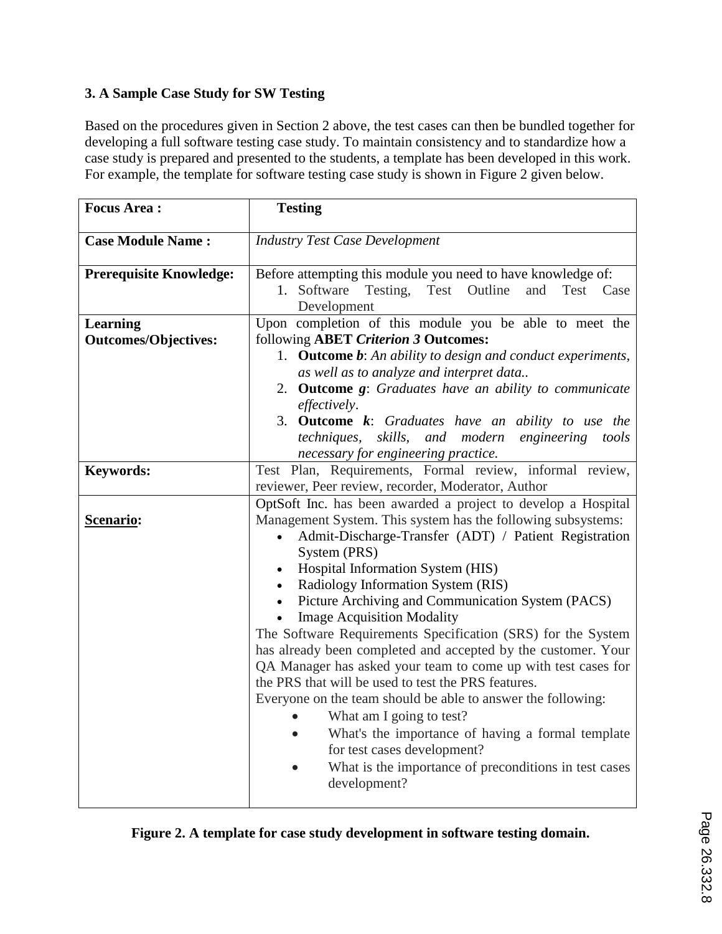# **3. A Sample Case Study for SW Testing**

Based on the procedures given in Section 2 above, the test cases can then be bundled together for developing a full software testing case study. To maintain consistency and to standardize how a case study is prepared and presented to the students, a template has been developed in this work. For example, the template for software testing case study is shown in Figure 2 given below.

| <b>Focus Area:</b>                             | <b>Testing</b>                                                                                                                                                                                                                                                                                                                                                                                                                                                                                                                                                                                                                                                                                                                                                                                                                                                                                                                                      |  |  |  |
|------------------------------------------------|-----------------------------------------------------------------------------------------------------------------------------------------------------------------------------------------------------------------------------------------------------------------------------------------------------------------------------------------------------------------------------------------------------------------------------------------------------------------------------------------------------------------------------------------------------------------------------------------------------------------------------------------------------------------------------------------------------------------------------------------------------------------------------------------------------------------------------------------------------------------------------------------------------------------------------------------------------|--|--|--|
| <b>Case Module Name:</b>                       | <b>Industry Test Case Development</b>                                                                                                                                                                                                                                                                                                                                                                                                                                                                                                                                                                                                                                                                                                                                                                                                                                                                                                               |  |  |  |
| <b>Prerequisite Knowledge:</b>                 | Before attempting this module you need to have knowledge of:<br>Software Testing, Test Outline<br>and<br>1.<br>Test Case<br>Development                                                                                                                                                                                                                                                                                                                                                                                                                                                                                                                                                                                                                                                                                                                                                                                                             |  |  |  |
| <b>Learning</b><br><b>Outcomes/Objectives:</b> | Upon completion of this module you be able to meet the<br>following ABET Criterion 3 Outcomes:<br>1. <b>Outcome b:</b> An ability to design and conduct experiments,<br>as well as to analyze and interpret data<br>2. <b>Outcome g:</b> Graduates have an ability to communicate<br>effectively.<br>3. Outcome k: Graduates have an ability to use the<br>techniques, skills, and modern<br>engineering<br>tools                                                                                                                                                                                                                                                                                                                                                                                                                                                                                                                                   |  |  |  |
| <b>Keywords:</b>                               | necessary for engineering practice.<br>Test Plan, Requirements, Formal review, informal review,<br>reviewer, Peer review, recorder, Moderator, Author                                                                                                                                                                                                                                                                                                                                                                                                                                                                                                                                                                                                                                                                                                                                                                                               |  |  |  |
| Scenario:                                      | OptSoft Inc. has been awarded a project to develop a Hospital<br>Management System. This system has the following subsystems:<br>Admit-Discharge-Transfer (ADT) / Patient Registration<br>$\bullet$<br>System (PRS)<br>Hospital Information System (HIS)<br>$\bullet$<br>• Radiology Information System (RIS)<br>Picture Archiving and Communication System (PACS)<br>$\bullet$<br><b>Image Acquisition Modality</b><br>$\bullet$<br>The Software Requirements Specification (SRS) for the System<br>has already been completed and accepted by the customer. Your<br>QA Manager has asked your team to come up with test cases for<br>the PRS that will be used to test the PRS features.<br>Everyone on the team should be able to answer the following:<br>What am I going to test?<br>What's the importance of having a formal template<br>for test cases development?<br>What is the importance of preconditions in test cases<br>development? |  |  |  |

|  |  | Figure 2. A template for case study development in software testing domain. |
|--|--|-----------------------------------------------------------------------------|
|  |  |                                                                             |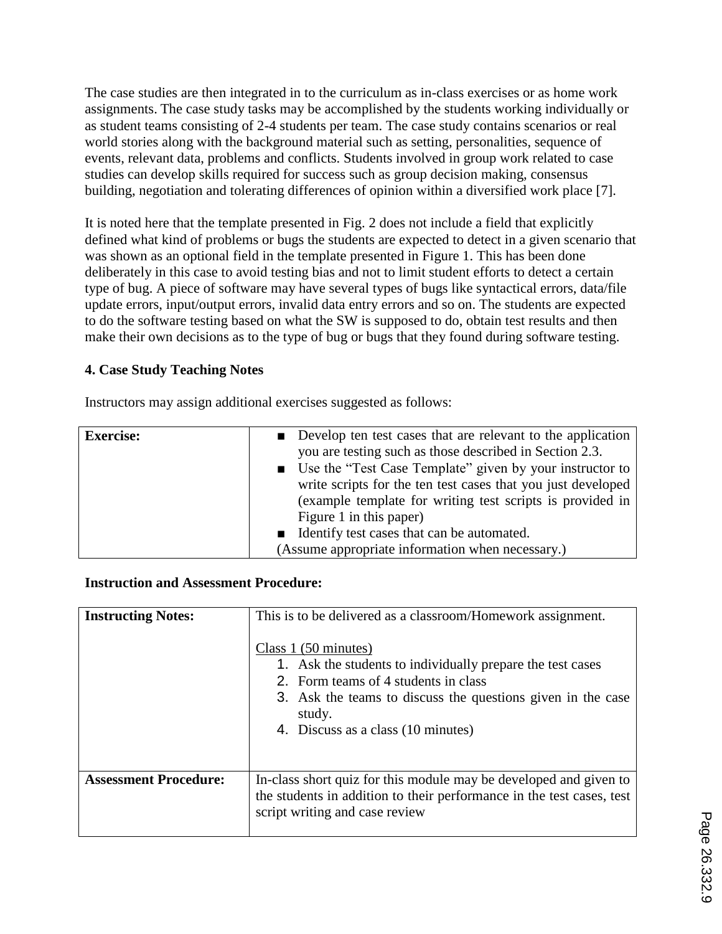The case studies are then integrated in to the curriculum as in-class exercises or as home work assignments. The case study tasks may be accomplished by the students working individually or as student teams consisting of 2-4 students per team. The case study contains scenarios or real world stories along with the background material such as setting, personalities, sequence of events, relevant data, problems and conflicts. Students involved in group work related to case studies can develop skills required for success such as group decision making, consensus building, negotiation and tolerating differences of opinion within a diversified work place [7].

It is noted here that the template presented in Fig. 2 does not include a field that explicitly defined what kind of problems or bugs the students are expected to detect in a given scenario that was shown as an optional field in the template presented in Figure 1. This has been done deliberately in this case to avoid testing bias and not to limit student efforts to detect a certain type of bug. A piece of software may have several types of bugs like syntactical errors, data/file update errors, input/output errors, invalid data entry errors and so on. The students are expected to do the software testing based on what the SW is supposed to do, obtain test results and then make their own decisions as to the type of bug or bugs that they found during software testing.

## **4. Case Study Teaching Notes**

Instructors may assign additional exercises suggested as follows:

| <b>Exercise:</b> | ■ Develop ten test cases that are relevant to the application<br>you are testing such as those described in Section 2.3.<br>■ Use the "Test Case Template" given by your instructor to<br>write scripts for the ten test cases that you just developed<br>(example template for writing test scripts is provided in<br>Figure 1 in this paper) |
|------------------|------------------------------------------------------------------------------------------------------------------------------------------------------------------------------------------------------------------------------------------------------------------------------------------------------------------------------------------------|
|                  | ■ Identify test cases that can be automated.<br>(Assume appropriate information when necessary.)                                                                                                                                                                                                                                               |

#### **Instruction and Assessment Procedure:**

| <b>Instructing Notes:</b>    | This is to be delivered as a classroom/Homework assignment.<br>Class 1 (50 minutes)<br>1. Ask the students to individually prepare the test cases<br>2. Form teams of 4 students in class<br>3. Ask the teams to discuss the questions given in the case<br>study.<br>4. Discuss as a class (10 minutes) |  |
|------------------------------|----------------------------------------------------------------------------------------------------------------------------------------------------------------------------------------------------------------------------------------------------------------------------------------------------------|--|
| <b>Assessment Procedure:</b> | In-class short quiz for this module may be developed and given to<br>the students in addition to their performance in the test cases, test<br>script writing and case review                                                                                                                             |  |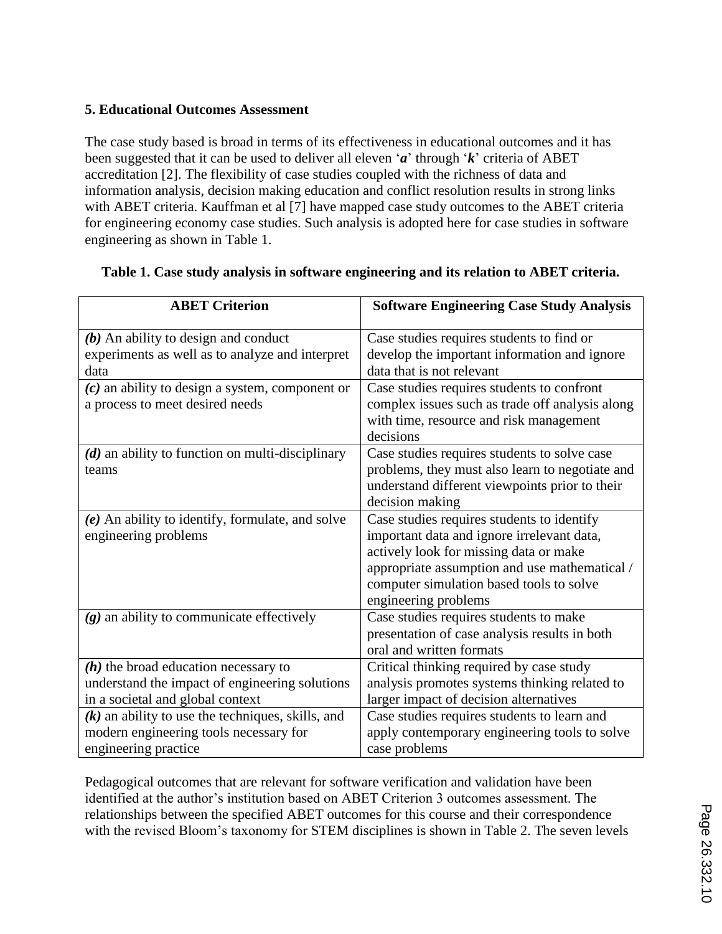## **5. Educational Outcomes Assessment**

The case study based is broad in terms of its effectiveness in educational outcomes and it has been suggested that it can be used to deliver all eleven '*a*' through '*k*' criteria of ABET accreditation [2]. The flexibility of case studies coupled with the richness of data and information analysis, decision making education and conflict resolution results in strong links with ABET criteria. Kauffman et al [7] have mapped case study outcomes to the ABET criteria for engineering economy case studies. Such analysis is adopted here for case studies in software engineering as shown in Table 1.

| <b>ABET Criterion</b>                               | <b>Software Engineering Case Study Analysis</b> |
|-----------------------------------------------------|-------------------------------------------------|
| $(b)$ An ability to design and conduct              | Case studies requires students to find or       |
| experiments as well as to analyze and interpret     | develop the important information and ignore    |
| data                                                | data that is not relevant                       |
| $(c)$ an ability to design a system, component or   | Case studies requires students to confront      |
| a process to meet desired needs                     | complex issues such as trade off analysis along |
|                                                     | with time, resource and risk management         |
|                                                     | decisions                                       |
| $(d)$ an ability to function on multi-disciplinary  | Case studies requires students to solve case    |
| teams                                               | problems, they must also learn to negotiate and |
|                                                     | understand different viewpoints prior to their  |
|                                                     | decision making                                 |
| $(e)$ An ability to identify, formulate, and solve  | Case studies requires students to identify      |
| engineering problems                                | important data and ignore irrelevant data,      |
|                                                     | actively look for missing data or make          |
|                                                     | appropriate assumption and use mathematical /   |
|                                                     | computer simulation based tools to solve        |
|                                                     | engineering problems                            |
| $(g)$ an ability to communicate effectively         | Case studies requires students to make          |
|                                                     | presentation of case analysis results in both   |
|                                                     | oral and written formats                        |
| $(h)$ the broad education necessary to              | Critical thinking required by case study        |
| understand the impact of engineering solutions      | analysis promotes systems thinking related to   |
| in a societal and global context                    | larger impact of decision alternatives          |
| $(k)$ an ability to use the techniques, skills, and | Case studies requires students to learn and     |
| modern engineering tools necessary for              | apply contemporary engineering tools to solve   |
| engineering practice                                | case problems                                   |

## **Table 1. Case study analysis in software engineering and its relation to ABET criteria.**

Pedagogical outcomes that are relevant for software verification and validation have been identified at the author's institution based on ABET Criterion 3 outcomes assessment. The relationships between the specified ABET outcomes for this course and their correspondence with the revised Bloom's taxonomy for STEM disciplines is shown in Table 2. The seven levels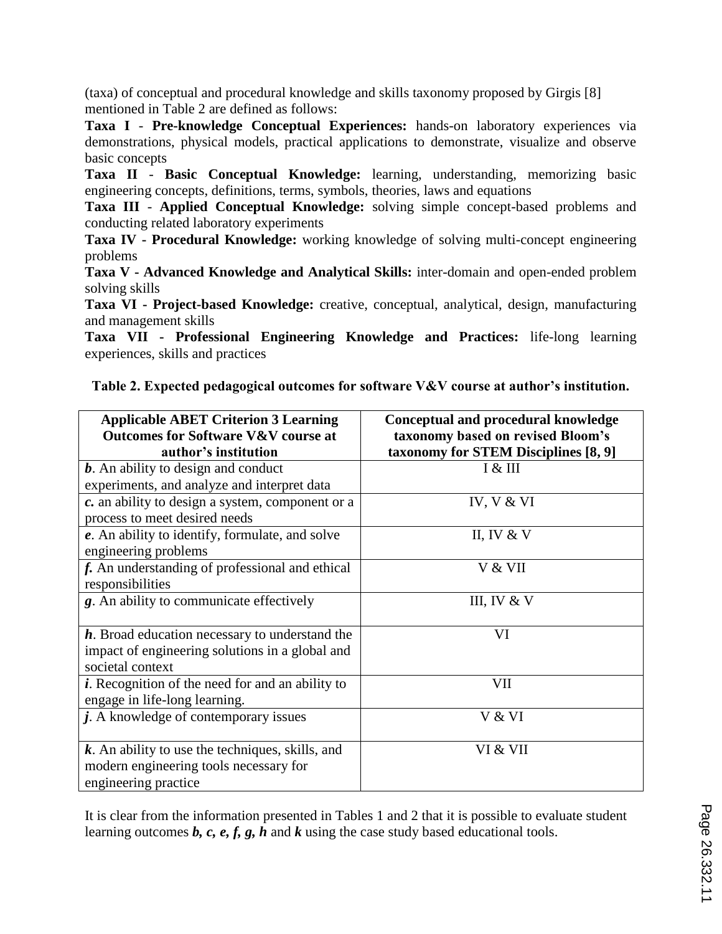(taxa) of conceptual and procedural knowledge and skills taxonomy proposed by Girgis [8] mentioned in Table 2 are defined as follows:

**Taxa I** - **Pre-knowledge Conceptual Experiences:** hands-on laboratory experiences via demonstrations, physical models, practical applications to demonstrate, visualize and observe basic concepts

**Taxa II** - **Basic Conceptual Knowledge:** learning, understanding, memorizing basic engineering concepts, definitions, terms, symbols, theories, laws and equations

**Taxa III** - **Applied Conceptual Knowledge:** solving simple concept-based problems and conducting related laboratory experiments

**Taxa IV - Procedural Knowledge:** working knowledge of solving multi-concept engineering problems

**Taxa V - Advanced Knowledge and Analytical Skills:** inter-domain and open-ended problem solving skills

**Taxa VI - Project-based Knowledge:** creative, conceptual, analytical, design, manufacturing and management skills

**Taxa VII - Professional Engineering Knowledge and Practices:** life-long learning experiences, skills and practices

|  |  | Table 2. Expected pedagogical outcomes for software V&V course at author's institution. |  |  |
|--|--|-----------------------------------------------------------------------------------------|--|--|
|  |  |                                                                                         |  |  |
|  |  |                                                                                         |  |  |
|  |  |                                                                                         |  |  |

| <b>Applicable ABET Criterion 3 Learning</b><br><b>Outcomes for Software V&amp;V course at</b><br>author's institution | <b>Conceptual and procedural knowledge</b><br>taxonomy based on revised Bloom's<br>taxonomy for STEM Disciplines [8, 9] |
|-----------------------------------------------------------------------------------------------------------------------|-------------------------------------------------------------------------------------------------------------------------|
| $b$ . An ability to design and conduct<br>experiments, and analyze and interpret data                                 | I & III                                                                                                                 |
| c. an ability to design a system, component or a<br>process to meet desired needs                                     | IV, $V & V$                                                                                                             |
| e. An ability to identify, formulate, and solve<br>engineering problems                                               | II, IV $&$ V                                                                                                            |
| f. An understanding of professional and ethical<br>responsibilities                                                   | V & VII                                                                                                                 |
| g. An ability to communicate effectively                                                                              | III, IV $&$ V                                                                                                           |
| h. Broad education necessary to understand the<br>impact of engineering solutions in a global and<br>societal context | VI                                                                                                                      |
| $i$ . Recognition of the need for and an ability to<br>engage in life-long learning.                                  | VII                                                                                                                     |
| $j$ . A knowledge of contemporary issues                                                                              | V & VI                                                                                                                  |
| $k$ . An ability to use the techniques, skills, and<br>modern engineering tools necessary for<br>engineering practice | VI & VII                                                                                                                |

It is clear from the information presented in Tables 1 and 2 that it is possible to evaluate student learning outcomes *b, c, e, f, g, h* and *k* using the case study based educational tools.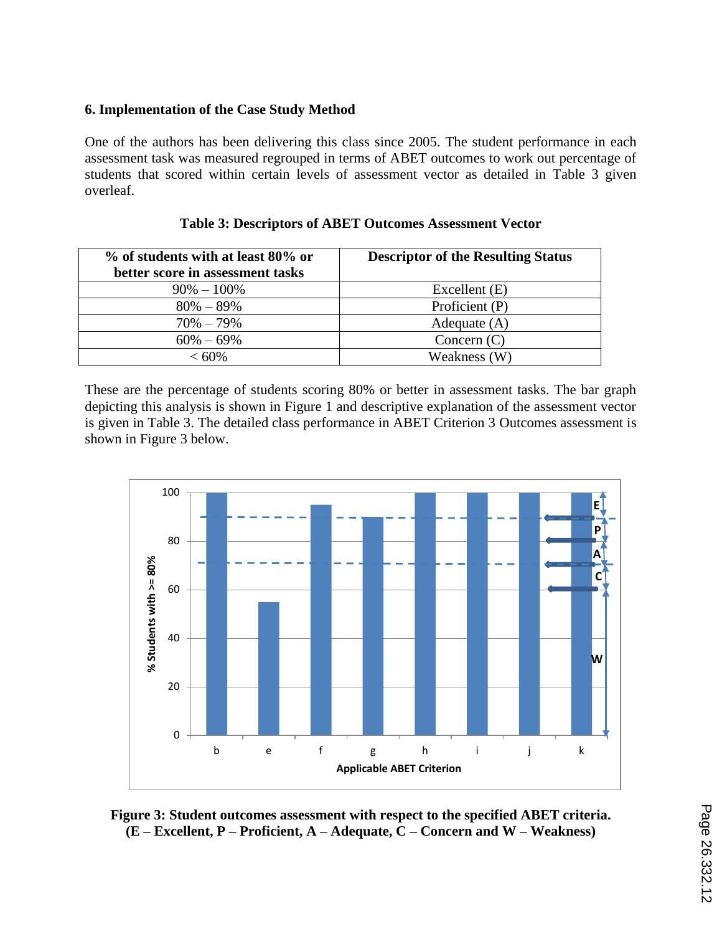#### **6. Implementation of the Case Study Method**

One of the authors has been delivering this class since 2005. The student performance in each assessment task was measured regrouped in terms of ABET outcomes to work out percentage of students that scored within certain levels of assessment vector as detailed in Table 3 given overleaf.

| % of students with at least 80% or | <b>Descriptor of the Resulting Status</b> |
|------------------------------------|-------------------------------------------|
| better score in assessment tasks   |                                           |
| $90\% - 100\%$                     | Excellent (E)                             |
| $80\% - 89\%$                      | Proficient (P)                            |
| $70\% - 79\%$                      | Adequate $(A)$                            |
| $60\% - 69\%$                      | Concern $(C)$                             |
| $< 60\%$                           | Weakness (W)                              |

| <b>Table 3: Descriptors of ABET Outcomes Assessment Vector</b> |  |  |
|----------------------------------------------------------------|--|--|
|----------------------------------------------------------------|--|--|

These are the percentage of students scoring 80% or better in assessment tasks. The bar graph depicting this analysis is shown in Figure 1 and descriptive explanation of the assessment vector is given in Table 3. The detailed class performance in ABET Criterion 3 Outcomes assessment is shown in Figure 3 below.



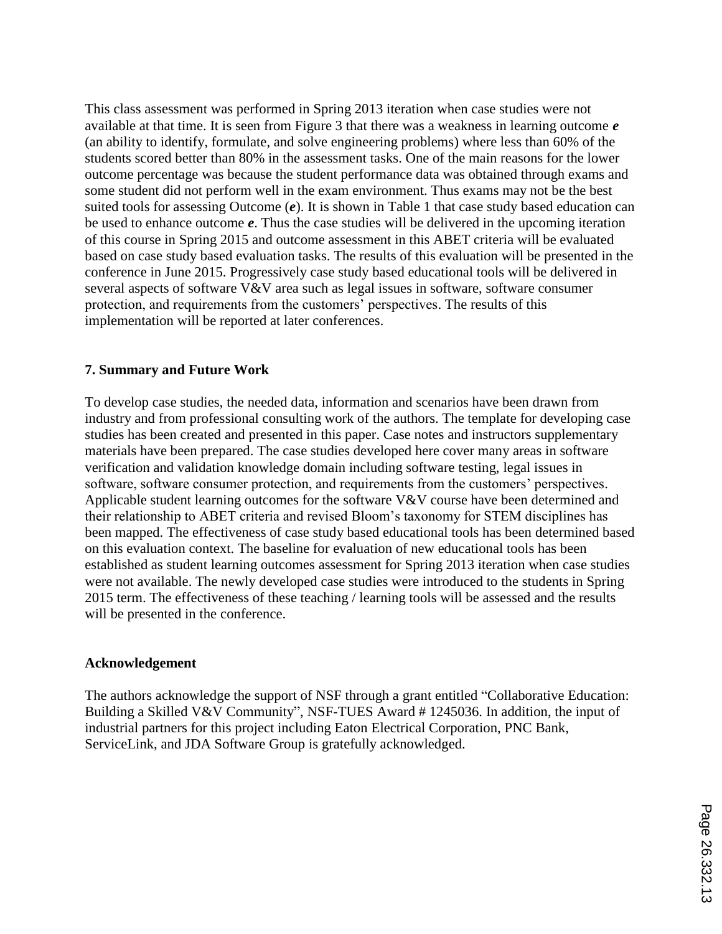This class assessment was performed in Spring 2013 iteration when case studies were not available at that time. It is seen from Figure 3 that there was a weakness in learning outcome *e* (an ability to identify, formulate, and solve engineering problems) where less than 60% of the students scored better than 80% in the assessment tasks. One of the main reasons for the lower outcome percentage was because the student performance data was obtained through exams and some student did not perform well in the exam environment. Thus exams may not be the best suited tools for assessing Outcome (*e*). It is shown in Table 1 that case study based education can be used to enhance outcome *e*. Thus the case studies will be delivered in the upcoming iteration of this course in Spring 2015 and outcome assessment in this ABET criteria will be evaluated based on case study based evaluation tasks. The results of this evaluation will be presented in the conference in June 2015. Progressively case study based educational tools will be delivered in several aspects of software V&V area such as legal issues in software, software consumer protection, and requirements from the customers' perspectives. The results of this implementation will be reported at later conferences.

#### **7. Summary and Future Work**

To develop case studies, the needed data, information and scenarios have been drawn from industry and from professional consulting work of the authors. The template for developing case studies has been created and presented in this paper. Case notes and instructors supplementary materials have been prepared. The case studies developed here cover many areas in software verification and validation knowledge domain including software testing, legal issues in software, software consumer protection, and requirements from the customers' perspectives. Applicable student learning outcomes for the software V&V course have been determined and their relationship to ABET criteria and revised Bloom's taxonomy for STEM disciplines has been mapped. The effectiveness of case study based educational tools has been determined based on this evaluation context. The baseline for evaluation of new educational tools has been established as student learning outcomes assessment for Spring 2013 iteration when case studies were not available. The newly developed case studies were introduced to the students in Spring 2015 term. The effectiveness of these teaching / learning tools will be assessed and the results will be presented in the conference.

#### **Acknowledgement**

The authors acknowledge the support of NSF through a grant entitled "Collaborative Education: Building a Skilled V&V Community", NSF-TUES Award # 1245036. In addition, the input of industrial partners for this project including Eaton Electrical Corporation, PNC Bank, ServiceLink, and JDA Software Group is gratefully acknowledged.